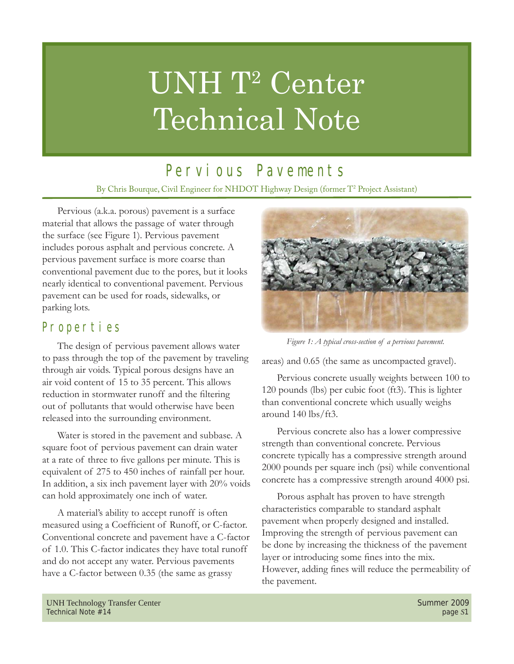# UNH T<sup>2</sup> Center Technical Note

## Pervious Pavements

By Chris Bourque, Civil Engineer for NHDOT Highway Design (former T2 Project Assistant)

Pervious (a.k.a. porous) pavement is a surface material that allows the passage of water through the surface (see Figure 1). Pervious pavement includes porous asphalt and pervious concrete. A pervious pavement surface is more coarse than conventional pavement due to the pores, but it looks nearly identical to conventional pavement. Pervious pavement can be used for roads, sidewalks, or parking lots.

#### Properties

The design of pervious pavement allows water to pass through the top of the pavement by traveling through air voids. Typical porous designs have an air void content of 15 to 35 percent. This allows reduction in stormwater runoff and the filtering out of pollutants that would otherwise have been released into the surrounding environment.

Water is stored in the pavement and subbase. A square foot of pervious pavement can drain water at a rate of three to five gallons per minute. This is equivalent of 275 to 450 inches of rainfall per hour. In addition, a six inch pavement layer with 20% voids can hold approximately one inch of water.

A material's ability to accept runoff is often measured using a Coefficient of Runoff, or C-factor. Conventional concrete and pavement have a C-factor of 1.0. This C-factor indicates they have total runoff and do not accept any water. Pervious pavements have a C-factor between 0.35 (the same as grassy



*Figure 1: A typical cross-section of a pervious pavement.*

areas) and 0.65 (the same as uncompacted gravel).

Pervious concrete usually weights between 100 to 120 pounds (lbs) per cubic foot (ft3). This is lighter than conventional concrete which usually weighs around 140 lbs/ft3.

Pervious concrete also has a lower compressive strength than conventional concrete. Pervious concrete typically has a compressive strength around 2000 pounds per square inch (psi) while conventional concrete has a compressive strength around 4000 psi.

Porous asphalt has proven to have strength characteristics comparable to standard asphalt pavement when properly designed and installed. Improving the strength of pervious pavement can be done by increasing the thickness of the pavement layer or introducing some fines into the mix. However, adding fines will reduce the permeability of the pavement.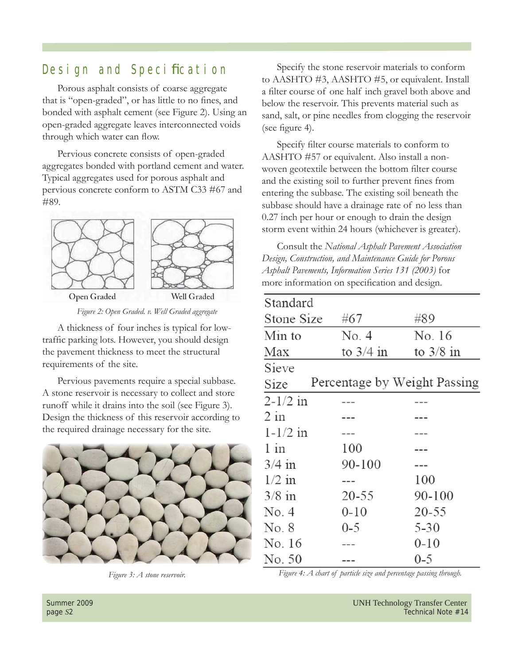### Design and Specification

Porous asphalt consists of coarse aggregate that is "open-graded", or has little to no fines, and bonded with asphalt cement (see Figure 2). Using an open-graded aggregate leaves interconnected voids through which water can flow.

Pervious concrete consists of open-graded aggregates bonded with portland cement and water. Typical aggregates used for porous asphalt and pervious concrete conform to ASTM C33 #67 and #89.



*Figure 2: Open Graded. v. Well Graded aggregate*

A thickness of four inches is typical for lowtraffic parking lots. However, you should design the pavement thickness to meet the structural requirements of the site.

Pervious pavements require a special subbase. A stone reservoir is necessary to collect and store runoff while it drains into the soil (see Figure 3). Design the thickness of this reservoir according to the required drainage necessary for the site.



Specify the stone reservoir materials to conform to AASHTO #3, AASHTO #5, or equivalent. Install a filter course of one half inch gravel both above and below the reservoir. This prevents material such as sand, salt, or pine needles from clogging the reservoir (see figure 4).

Specify filter course materials to conform to AASHTO #57 or equivalent. Also install a nonwoven geotextile between the bottom filter course and the existing soil to further prevent fines from entering the subbase. The existing soil beneath the subbase should have a drainage rate of no less than 0.27 inch per hour or enough to drain the design storm event within 24 hours (whichever is greater).

Consult the *National Asphalt Pavement Association Design, Construction, and Maintenance Guide for Porous Asphalt Pavements, Information Series 131 (2003)* for more information on specification and design.

| Standard     |  |                              |             |
|--------------|--|------------------------------|-------------|
| Stone Size   |  | #67                          | #89         |
| Min to       |  | No. 4                        | No. 16      |
| Max          |  | to $3/4$ in                  | to $3/8$ in |
| Sieve        |  |                              |             |
| Size         |  | Percentage by Weight Passing |             |
| $2 - 1/2$ in |  |                              |             |
| $2$ in       |  |                              |             |
| $1 - 1/2$ in |  |                              |             |
| $1$ in       |  | 100                          |             |
| $3/4$ in     |  | 90-100                       |             |
| $1/2$ in     |  |                              | 100         |
| $3/8$ in     |  | 20-55                        | 90-100      |
| No. 4        |  | $0 - 10$                     | 20-55       |
| No. 8        |  | $0 - 5$                      | $5 - 30$    |
| No. 16       |  |                              | $0 - 10$    |
| No. 50       |  |                              | 0-5         |

*Figure 3: A stone reservoir. Figure 4: A chart of particle size and percentage passing through.*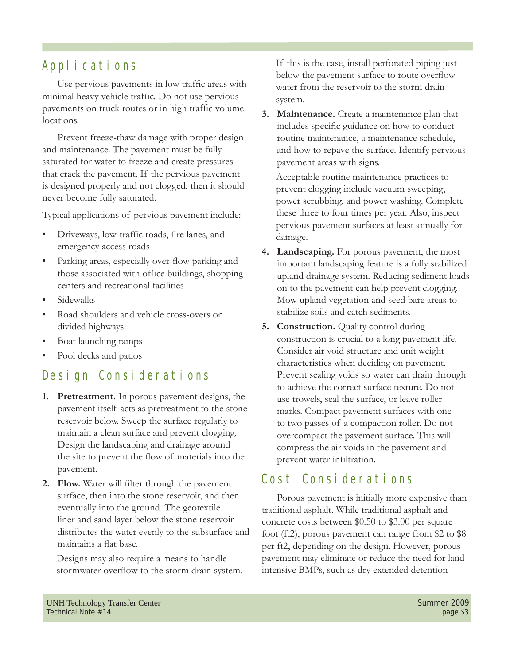### Applications

Use pervious pavements in low traffic areas with minimal heavy vehicle traffic. Do not use pervious pavements on truck routes or in high traffic volume locations.

Prevent freeze-thaw damage with proper design and maintenance. The pavement must be fully saturated for water to freeze and create pressures that crack the pavement. If the pervious pavement is designed properly and not clogged, then it should never become fully saturated.

Typical applications of pervious pavement include:

- Driveways, low-traffic roads, fire lanes, and emergency access roads
- Parking areas, especially over-flow parking and those associated with office buildings, shopping centers and recreational facilities
- Sidewalks
- Road shoulders and vehicle cross-overs on divided highways
- Boat launching ramps
- Pool decks and patios

#### Design Considerations

- **1. Pretreatment.** In porous pavement designs, the pavement itself acts as pretreatment to the stone reservoir below. Sweep the surface regularly to maintain a clean surface and prevent clogging. Design the landscaping and drainage around the site to prevent the flow of materials into the pavement.
- **2.** Flow. Water will filter through the pavement surface, then into the stone reservoir, and then eventually into the ground. The geotextile liner and sand layer below the stone reservoir distributes the water evenly to the subsurface and maintains a flat base.

Designs may also require a means to handle stormwater overflow to the storm drain system. If this is the case, install perforated piping just below the pavement surface to route overflow water from the reservoir to the storm drain system.

**3. Maintenance.** Create a maintenance plan that includes specific guidance on how to conduct routine maintenance, a maintenance schedule, and how to repave the surface. Identify pervious pavement areas with signs.

Acceptable routine maintenance practices to prevent clogging include vacuum sweeping, power scrubbing, and power washing. Complete these three to four times per year. Also, inspect pervious pavement surfaces at least annually for damage.

- **4. Landscaping.** For porous pavement, the most important landscaping feature is a fully stabilized upland drainage system. Reducing sediment loads on to the pavement can help prevent clogging. Mow upland vegetation and seed bare areas to stabilize soils and catch sediments.
- **5. Construction.** Quality control during construction is crucial to a long pavement life. Consider air void structure and unit weight characteristics when deciding on pavement. Prevent sealing voids so water can drain through to achieve the correct surface texture. Do not use trowels, seal the surface, or leave roller marks. Compact pavement surfaces with one to two passes of a compaction roller. Do not overcompact the pavement surface. This will compress the air voids in the pavement and prevent water infiltration.

#### Cost Considerations

Porous pavement is initially more expensive than traditional asphalt. While traditional asphalt and concrete costs between \$0.50 to \$3.00 per square foot (ft2), porous pavement can range from \$2 to \$8 per ft2, depending on the design. However, porous pavement may eliminate or reduce the need for land intensive BMPs, such as dry extended detention